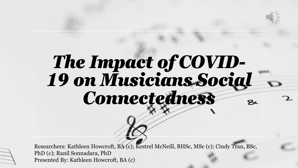

# *The Impact of COVID-19 on Musicians Social Connectedness*

Researchers: Kathleen Howcroft, BA (c); Kestrel McNeill, BHSc, MSc (c); Cindy Tran, BSc, PhD (c); Ranil Sonnadara, PhD Presented By: Kathleen Howcroft, BA (c)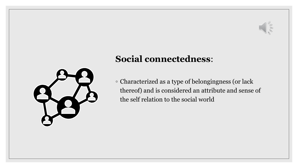

### **Social connectedness**:

◦ Characterized as a type of belongingness (or lack thereof) and is considered an attribute and sense of the self relation to the social world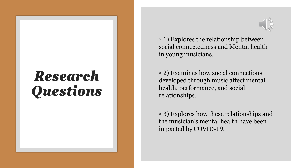## *Research Questions*



◦ 1) Explores the relationship between social connectedness and Mental health in young musicians.

◦ 2) Examines how social connections developed through music affect mental health, performance, and social relationships.

◦ 3) Explores how these relationships and the musician's mental health have been impacted by COVID-19.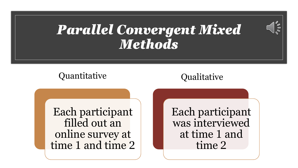## *Parallel Convergent Mixed Methods*

### Quantitative Qualitative

 $\mathscr{O}^0\mathscr{O}_\mathscr{O}$ 

Each participant filled out an online survey at time 1 and time 2 Each participant was interviewed at time 1 and time 2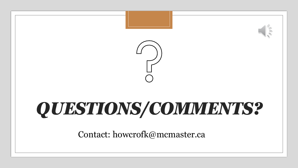